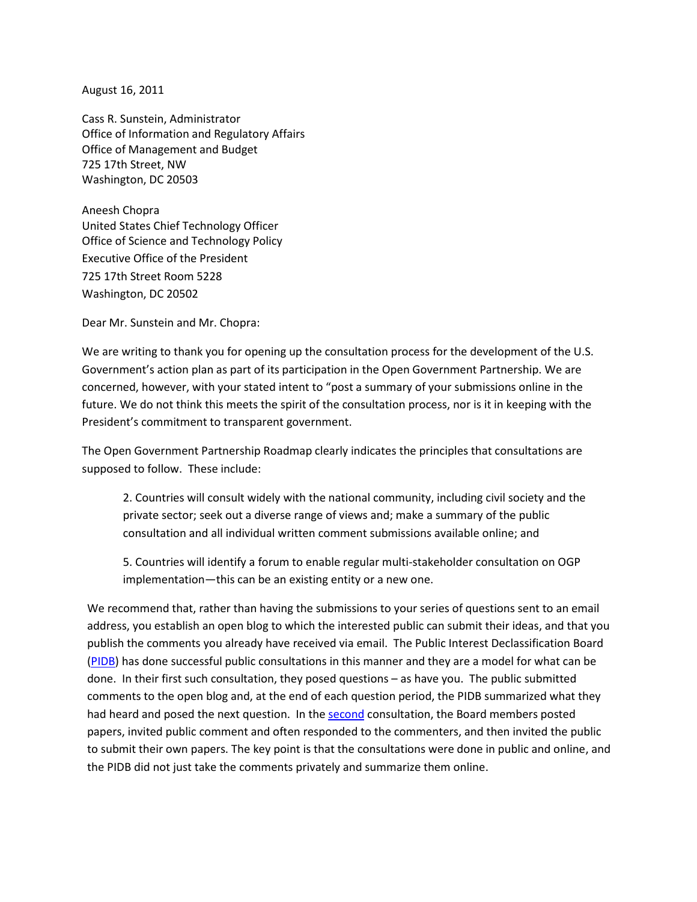August 16, 2011

Cass R. Sunstein, Administrator Office of Information and Regulatory Affairs Office of Management and Budget 725 17th Street, NW Washington, DC 20503

Aneesh Chopra United States Chief Technology Officer Office of Science and Technology Policy Executive Office of the President 725 17th Street Room 5228 Washington, DC 20502

Dear Mr. Sunstein and Mr. Chopra:

We are writing to thank you for opening up the consultation process for the development of the U.S. Government's action plan as part of its participation in the Open Government Partnership. We are concerned, however, with your stated intent to "post a summary of your submissions online in the future. We do not think this meets the spirit of the consultation process, nor is it in keeping with the President's commitment to transparent government.

The Open Government Partnership Roadmap clearly indicates the principles that consultations are supposed to follow. These include:

2. Countries will consult widely with the national community, including civil society and the private sector; seek out a diverse range of views and; make a summary of the public consultation and all individual written comment submissions available online; and

5. Countries will identify a forum to enable regular multi-stakeholder consultation on OGP implementation—this can be an existing entity or a new one.

We recommend that, rather than having the submissions to your series of questions sent to an email address, you establish an open blog to which the interested public can submit their ideas, and that you publish the comments you already have received via email. The Public Interest Declassification Board [\(PIDB\)](http://archives.gov/pidb) has done successful public consultations in this manner and they are a model for what can be done. In their first such consultation, they posed questions – as have you. The public submitted comments to the open blog and, at the end of each question period, the PIDB summarized what they had heard and posed the next question. In th[e second](http://blogs.archives.gov/transformingclassification) consultation, the Board members posted papers, invited public comment and often responded to the commenters, and then invited the public to submit their own papers. The key point is that the consultations were done in public and online, and the PIDB did not just take the comments privately and summarize them online.